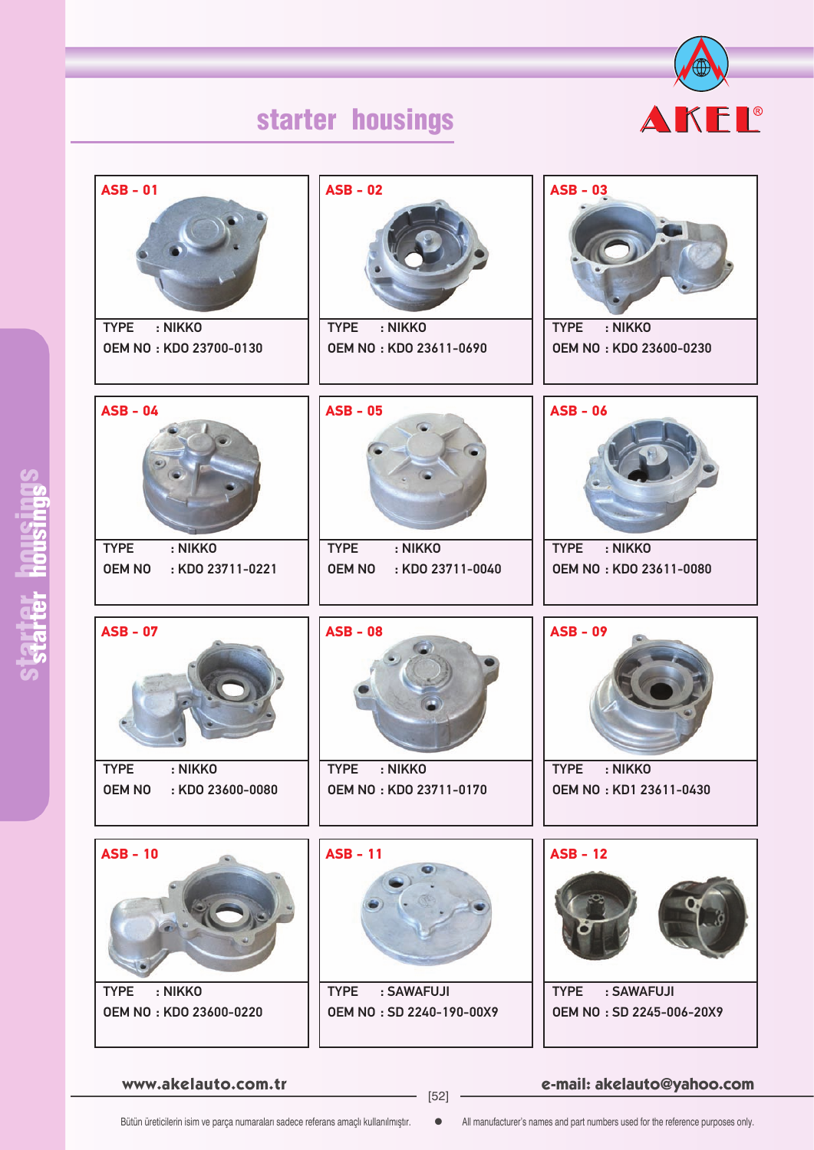# starter housings



| <b>ASB - 01</b><br>: NIKKO<br><b>TYPE</b>                   | $ASB - 02$<br>: NIKKO<br><b>TYPE</b>                        | $ASB - 03$<br>: NIKKO<br><b>TYPE</b>             |
|-------------------------------------------------------------|-------------------------------------------------------------|--------------------------------------------------|
| OEM NO: KDO 23700-0130                                      | <b>OEM NO: KDO 23611-0690</b>                               | OEM NO: KDO 23600-0230                           |
| <b>ASB - 04</b>                                             | <b>ASB - 05</b>                                             | $ASB - 06$                                       |
| : NIKKO<br><b>TYPE</b><br><b>OEM NO</b><br>: KDO 23711-0221 | : NIKKO<br><b>TYPE</b><br>: KDO 23711-0040<br><b>OEM NO</b> | : NIKKO<br><b>TYPE</b><br>OEM NO: KDO 23611-0080 |
|                                                             |                                                             |                                                  |
| <b>ASB - 07</b>                                             | <b>ASB - 08</b>                                             | <b>ASB - 09</b>                                  |
| : NIKKO<br><b>TYPE</b><br><b>OEM NO</b><br>: KDO 23600-0080 | <b>TYPE</b><br>: NIKKO<br>OEM NO: KDO 23711-0170            | <b>TYPE</b><br>: NIKKO<br>OEM NO: KD1 23611-0430 |
| $ASB - 10$                                                  | <b>ASB - 11</b>                                             | $ASB - 12$                                       |

**www.akelauto.com.tr e-mail: akelauto@yahoo.com** [52]

Bütün üreticilerin isim ve parça numaraları sadece referans amaçlı kullanılmıştır.  $\bullet$  All manufacturer's names and part numbers used for the reference purposes only.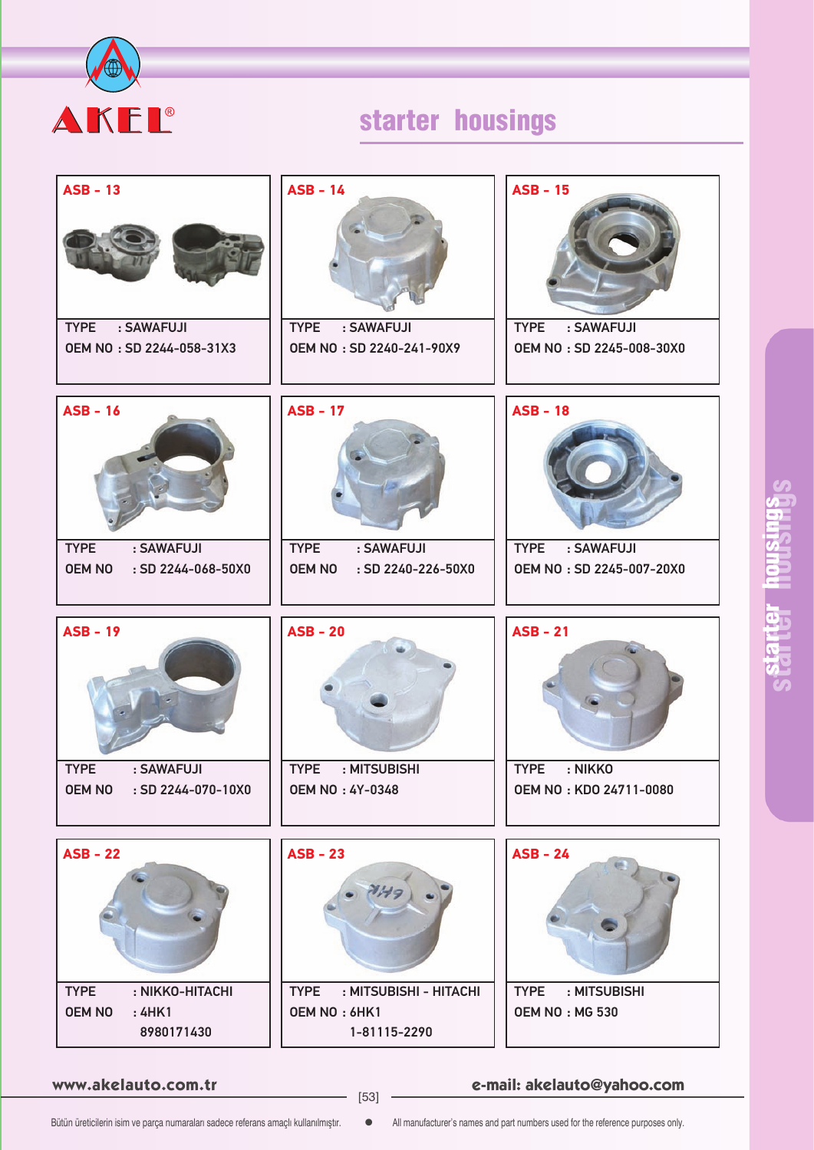

# starter housings

| $ASB - 13$                                                         | $ASB - 14$                                                       | <b>ASB - 15</b>                                         |
|--------------------------------------------------------------------|------------------------------------------------------------------|---------------------------------------------------------|
| <b>TYPE</b><br>: SAWAFUJI<br>OEM NO: SD 2244-058-31X3              | <b>TYPE</b><br>: SAWAFUJI<br>OEM NO: SD 2240-241-90X9            | <b>TYPE</b><br>: SAWAFUJI<br>OEM NO: SD 2245-008-30X0   |
| $ASB - 16$                                                         | <b>ASB - 17</b>                                                  | <b>ASB - 18</b>                                         |
| : SAWAFUJI<br><b>TYPE</b><br><b>OEM NO</b><br>: SD 2244-068-50X0   | <b>TYPE</b><br>: SAWAFUJI<br><b>OEM NO</b><br>: SD 2240-226-50X0 | <b>TYPE</b><br>: SAWAFUJI<br>OEM NO: SD 2245-007-20X0   |
|                                                                    |                                                                  |                                                         |
| <b>ASB - 19</b>                                                    | $ASB - 20$                                                       | $ASB - 21$                                              |
|                                                                    |                                                                  |                                                         |
| <b>TYPE</b><br>: SAWAFUJI<br><b>OEM NO</b><br>$:$ SD 2244-070-10X0 | <b>TYPE</b><br>: MITSUBISHI<br><b>OEM NO: 4Y-0348</b>            | <b>TYPE</b><br>: NIKKO<br><b>OEM NO: KDO 24711-0080</b> |
|                                                                    |                                                                  |                                                         |
| $ASB - 22$                                                         | $ASB - 23$                                                       | $ASB - 24$                                              |

**www.akelauto.com.tr e-mail: akelauto@yahoo.com** [53]